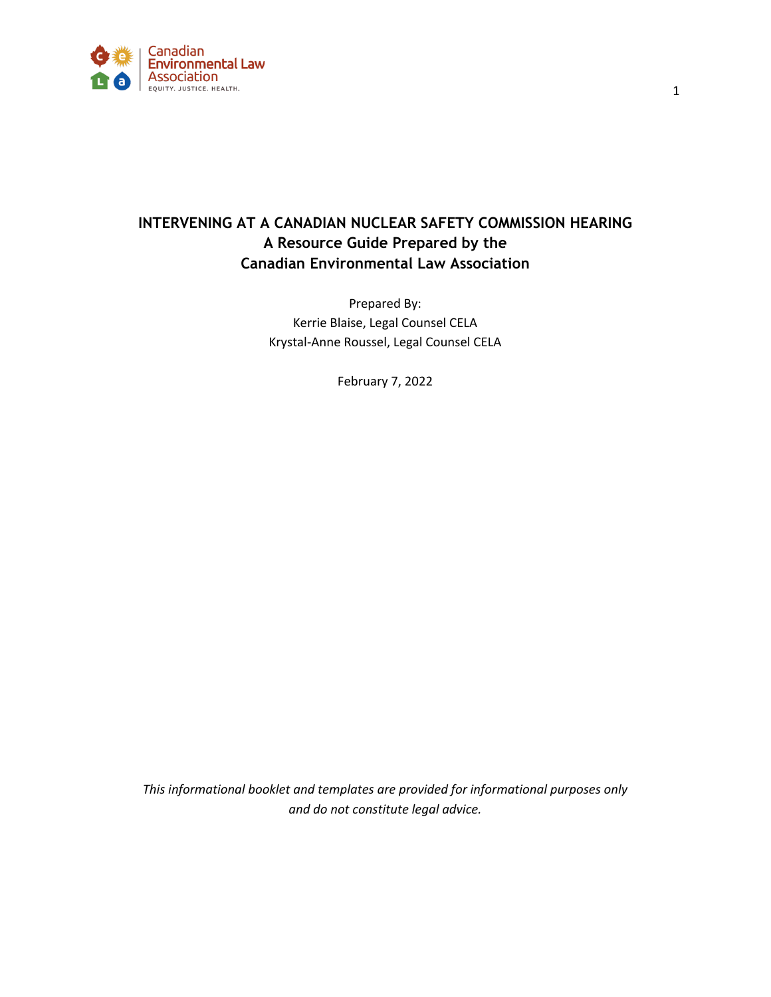

# **INTERVENING AT A CANADIAN NUCLEAR SAFETY COMMISSION HEARING A Resource Guide Prepared by the Canadian Environmental Law Association**

Prepared By: Kerrie Blaise, Legal Counsel CELA Krystal-Anne Roussel, Legal Counsel CELA

February 7, 2022

*This informational booklet and templates are provided for informational purposes only and do not constitute legal advice.*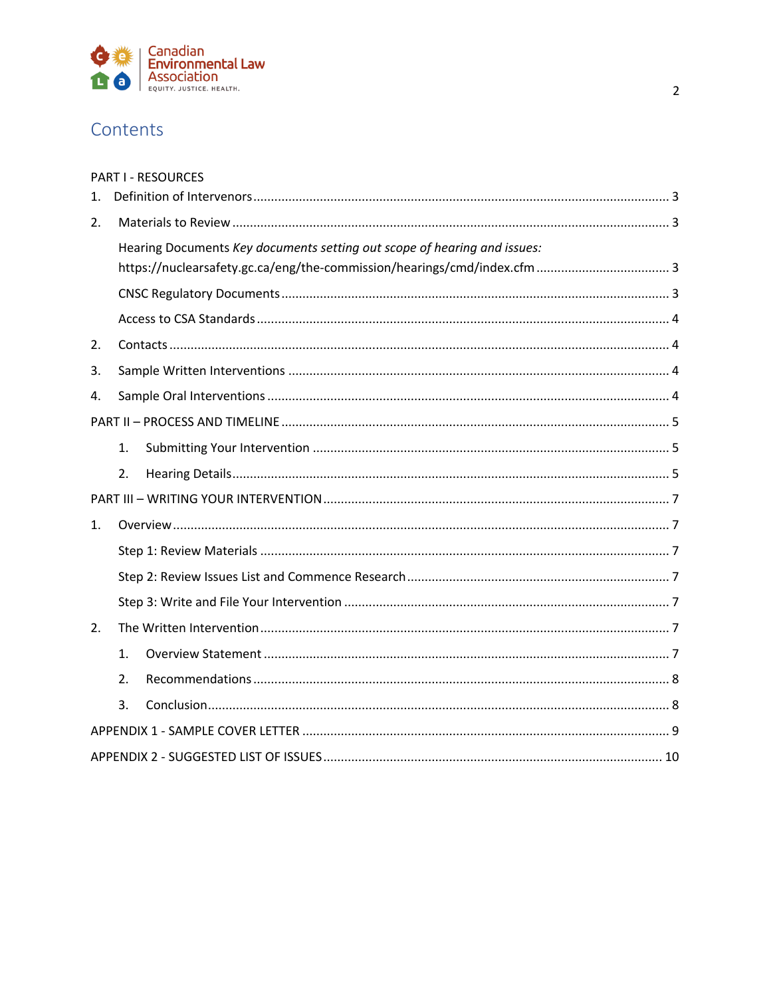

# Contents

| <b>PART I - RESOURCES</b> |  |  |  |
|---------------------------|--|--|--|
|---------------------------|--|--|--|

| $\mathbf{1}$ . |                                                                          |  |  |  |
|----------------|--------------------------------------------------------------------------|--|--|--|
| 2.             |                                                                          |  |  |  |
|                | Hearing Documents Key documents setting out scope of hearing and issues: |  |  |  |
|                |                                                                          |  |  |  |
|                |                                                                          |  |  |  |
|                |                                                                          |  |  |  |
| 2.             |                                                                          |  |  |  |
| 3.             |                                                                          |  |  |  |
| 4.             |                                                                          |  |  |  |
|                |                                                                          |  |  |  |
|                | 1.                                                                       |  |  |  |
|                | 2.                                                                       |  |  |  |
|                |                                                                          |  |  |  |
| 1.             |                                                                          |  |  |  |
|                |                                                                          |  |  |  |
|                |                                                                          |  |  |  |
|                |                                                                          |  |  |  |
| 2.             |                                                                          |  |  |  |
|                | 1.                                                                       |  |  |  |
|                | 2.                                                                       |  |  |  |
|                | 3.                                                                       |  |  |  |
|                |                                                                          |  |  |  |
|                |                                                                          |  |  |  |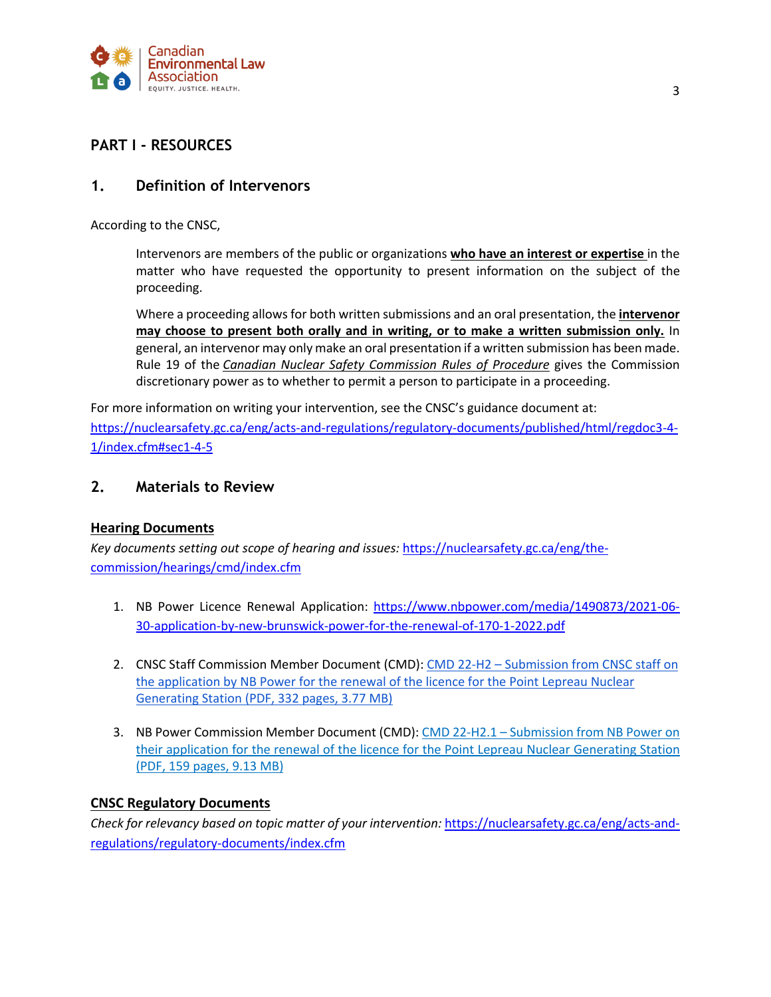

### **PART I - RESOURCES**

### **1. Definition of Intervenors**

According to the CNSC,

Intervenors are members of the public or organizations **who have an interest or expertise** in the matter who have requested the opportunity to present information on the subject of the proceeding.

Where a proceeding allows for both written submissions and an oral presentation, the **intervenor may choose to present both orally and in writing, or to make a written submission only.** In general, an intervenor may only make an oral presentation if a written submission has been made. Rule 19 of the *Canadian Nuclear Safety Commission Rules of Procedure* gives the Commission discretionary power as to whether to permit a person to participate in a proceeding.

For more information on writing your intervention, see the CNSC's guidance document at: https://nuclearsafety.gc.ca/eng/acts-and-regulations/regulatory-documents/published/html/regdoc3-4- 1/index.cfm#sec1-4-5

### **2. Materials to Review**

#### **Hearing Documents**

*Key documents setting out scope of hearing and issues:* https://nuclearsafety.gc.ca/eng/thecommission/hearings/cmd/index.cfm

- 1. NB Power Licence Renewal Application: https://www.nbpower.com/media/1490873/2021-06- 30-application-by-new-brunswick-power-for-the-renewal-of-170-1-2022.pdf
- 2. CNSC Staff Commission Member Document (CMD): CMD 22-H2 Submission from CNSC staff on the application by NB Power for the renewal of the licence for the Point Lepreau Nuclear Generating Station (PDF, 332 pages, 3.77 MB)
- 3. NB Power Commission Member Document (CMD): CMD 22-H2.1 Submission from NB Power on their application for the renewal of the licence for the Point Lepreau Nuclear Generating Station (PDF, 159 pages, 9.13 MB)

#### **CNSC Regulatory Documents**

*Check for relevancy based on topic matter of your intervention:* https://nuclearsafety.gc.ca/eng/acts-andregulations/regulatory-documents/index.cfm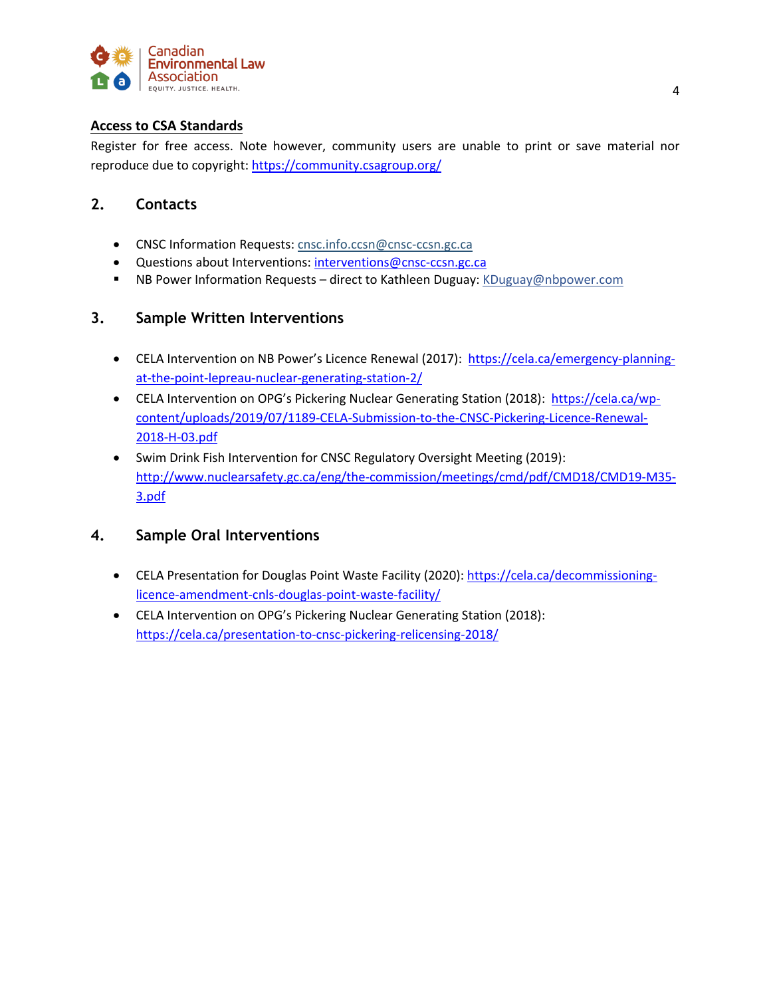

### **Access to CSA Standards**

Register for free access. Note however, community users are unable to print or save material nor reproduce due to copyright: https://community.csagroup.org/

### **2. Contacts**

- CNSC Information Requests: cnsc.info.ccsn@cnsc-ccsn.gc.ca
- Questions about Interventions: interventions@cnsc-ccsn.gc.ca
- NB Power Information Requests direct to Kathleen Duguay: KDuguay@nbpower.com

### **3. Sample Written Interventions**

- CELA Intervention on NB Power's Licence Renewal (2017): https://cela.ca/emergency-planningat-the-point-lepreau-nuclear-generating-station-2/
- CELA Intervention on OPG's Pickering Nuclear Generating Station (2018): https://cela.ca/wpcontent/uploads/2019/07/1189-CELA-Submission-to-the-CNSC-Pickering-Licence-Renewal-2018-H-03.pdf
- Swim Drink Fish Intervention for CNSC Regulatory Oversight Meeting (2019): http://www.nuclearsafety.gc.ca/eng/the-commission/meetings/cmd/pdf/CMD18/CMD19-M35- 3.pdf

### **4. Sample Oral Interventions**

- CELA Presentation for Douglas Point Waste Facility (2020): https://cela.ca/decommissioninglicence-amendment-cnls-douglas-point-waste-facility/
- CELA Intervention on OPG's Pickering Nuclear Generating Station (2018): https://cela.ca/presentation-to-cnsc-pickering-relicensing-2018/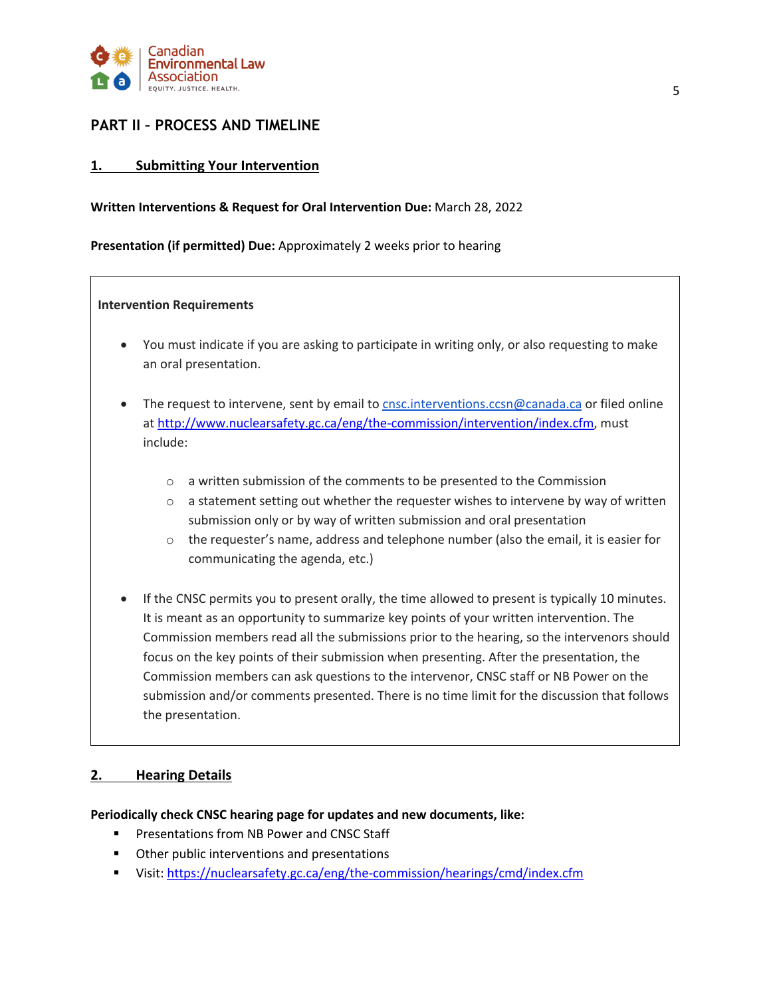

### **PART II – PROCESS AND TIMELINE**

#### **1. Submitting Your Intervention**

#### **Written Interventions & Request for Oral Intervention Due:** March 28, 2022

**Presentation (if permitted) Due:** Approximately 2 weeks prior to hearing

#### **Intervention Requirements**

- You must indicate if you are asking to participate in writing only, or also requesting to make an oral presentation.
- The request to intervene, sent by email to cnsc.interventions.ccsn@canada.ca or filed online at http://www.nuclearsafety.gc.ca/eng/the-commission/intervention/index.cfm, must include:
	- o a written submission of the comments to be presented to the Commission
	- $\circ$  a statement setting out whether the requester wishes to intervene by way of written submission only or by way of written submission and oral presentation
	- $\circ$  the requester's name, address and telephone number (also the email, it is easier for communicating the agenda, etc.)
- If the CNSC permits you to present orally, the time allowed to present is typically 10 minutes. It is meant as an opportunity to summarize key points of your written intervention. The Commission members read all the submissions prior to the hearing, so the intervenors should focus on the key points of their submission when presenting. After the presentation, the Commission members can ask questions to the intervenor, CNSC staff or NB Power on the submission and/or comments presented. There is no time limit for the discussion that follows the presentation.

### **2. Hearing Details**

#### **Periodically check CNSC hearing page for updates and new documents, like:**

- Presentations from NB Power and CNSC Staff
- Other public interventions and presentations
- Visit: https://nuclearsafety.gc.ca/eng/the-commission/hearings/cmd/index.cfm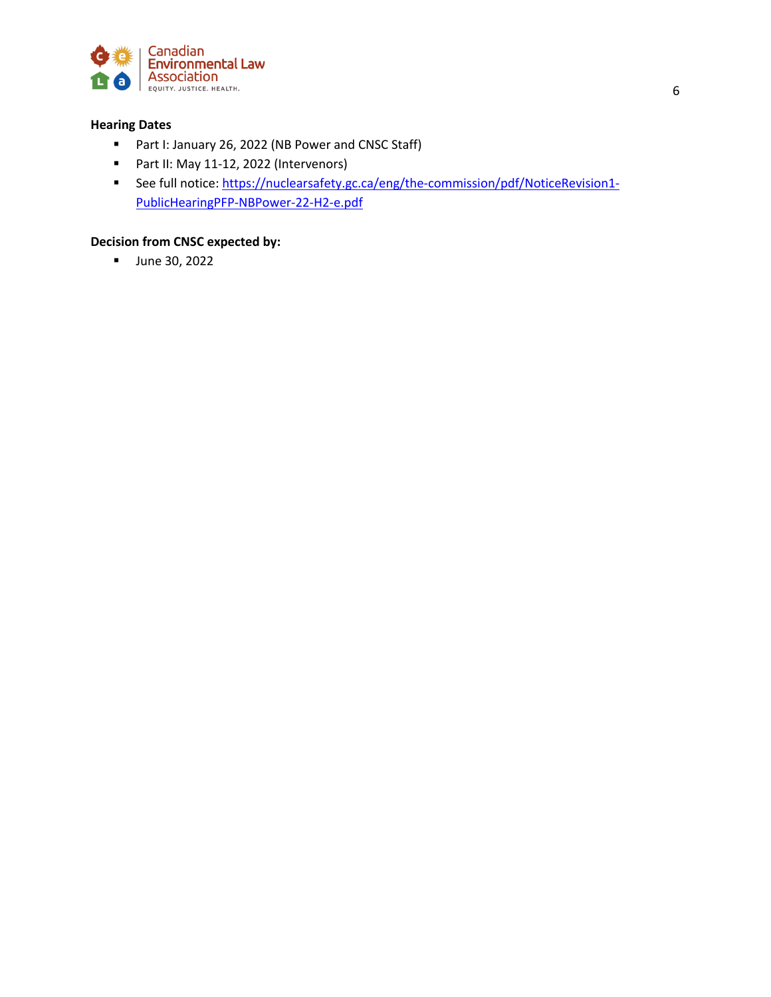

#### **Hearing Dates**

- Part I: January 26, 2022 (NB Power and CNSC Staff)
- Part II: May 11-12, 2022 (Intervenors)
- See full notice: https://nuclearsafety.gc.ca/eng/the-commission/pdf/NoticeRevision1-PublicHearingPFP-NBPower-22-H2-e.pdf

#### **Decision from CNSC expected by:**

■ June 30, 2022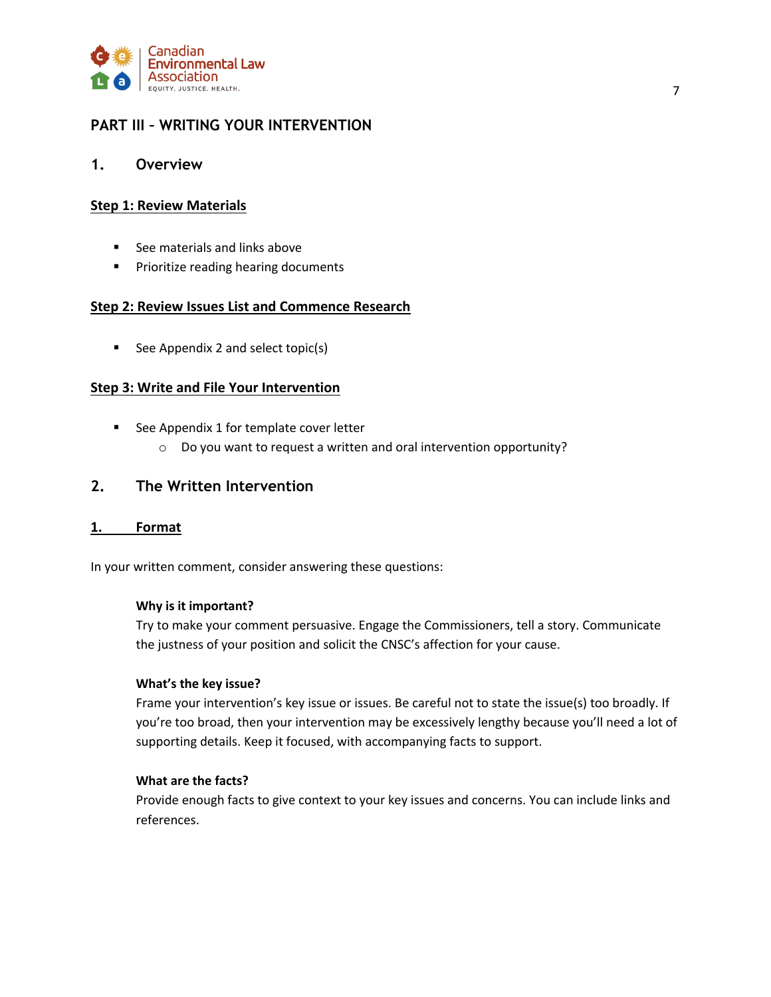

## **PART III – WRITING YOUR INTERVENTION**

#### **1. Overview**

#### **Step 1: Review Materials**

- See materials and links above
- **•** Prioritize reading hearing documents

#### **Step 2: Review Issues List and Commence Research**

■ See Appendix 2 and select topic(s)

#### **Step 3: Write and File Your Intervention**

- See Appendix 1 for template cover letter
	- o Do you want to request a written and oral intervention opportunity?

### **2. The Written Intervention**

#### **1. Format**

In your written comment, consider answering these questions:

#### **Why is it important?**

Try to make your comment persuasive. Engage the Commissioners, tell a story. Communicate the justness of your position and solicit the CNSC's affection for your cause.

#### **What's the key issue?**

Frame your intervention's key issue or issues. Be careful not to state the issue(s) too broadly. If you're too broad, then your intervention may be excessively lengthy because you'll need a lot of supporting details. Keep it focused, with accompanying facts to support.

#### **What are the facts?**

Provide enough facts to give context to your key issues and concerns. You can include links and references.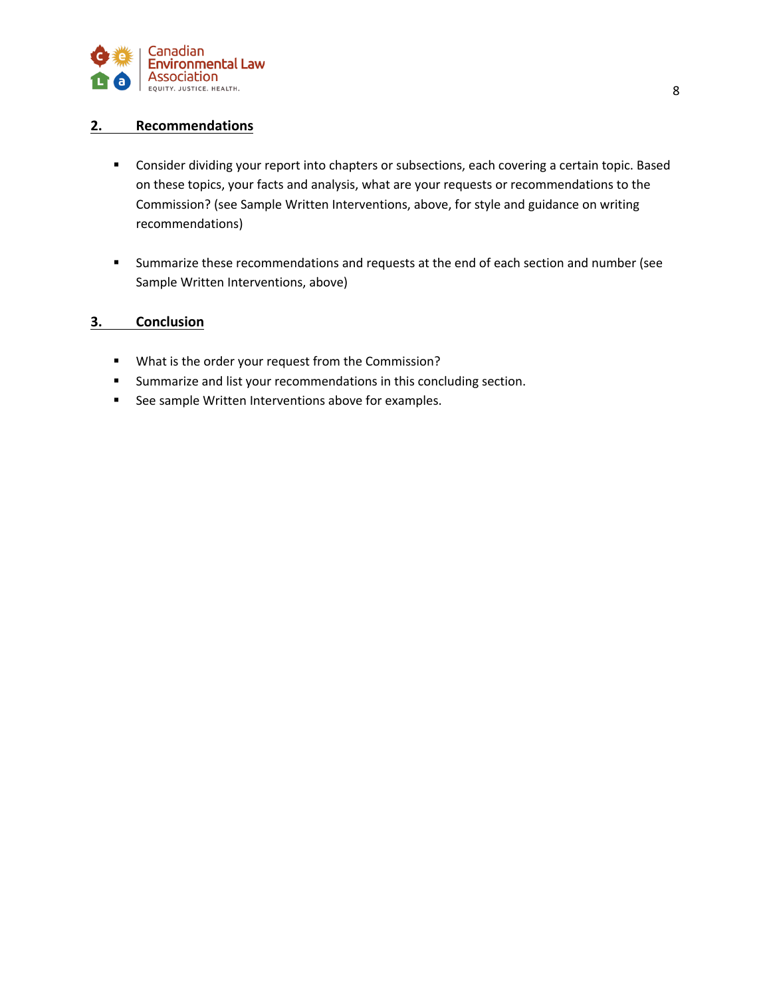

#### **2. Recommendations**

- Consider dividing your report into chapters or subsections, each covering a certain topic. Based on these topics, your facts and analysis, what are your requests or recommendations to the Commission? (see Sample Written Interventions, above, for style and guidance on writing recommendations)
- Summarize these recommendations and requests at the end of each section and number (see Sample Written Interventions, above)

#### **3. Conclusion**

- § What is the order your request from the Commission?
- Summarize and list your recommendations in this concluding section.
- See sample Written Interventions above for examples.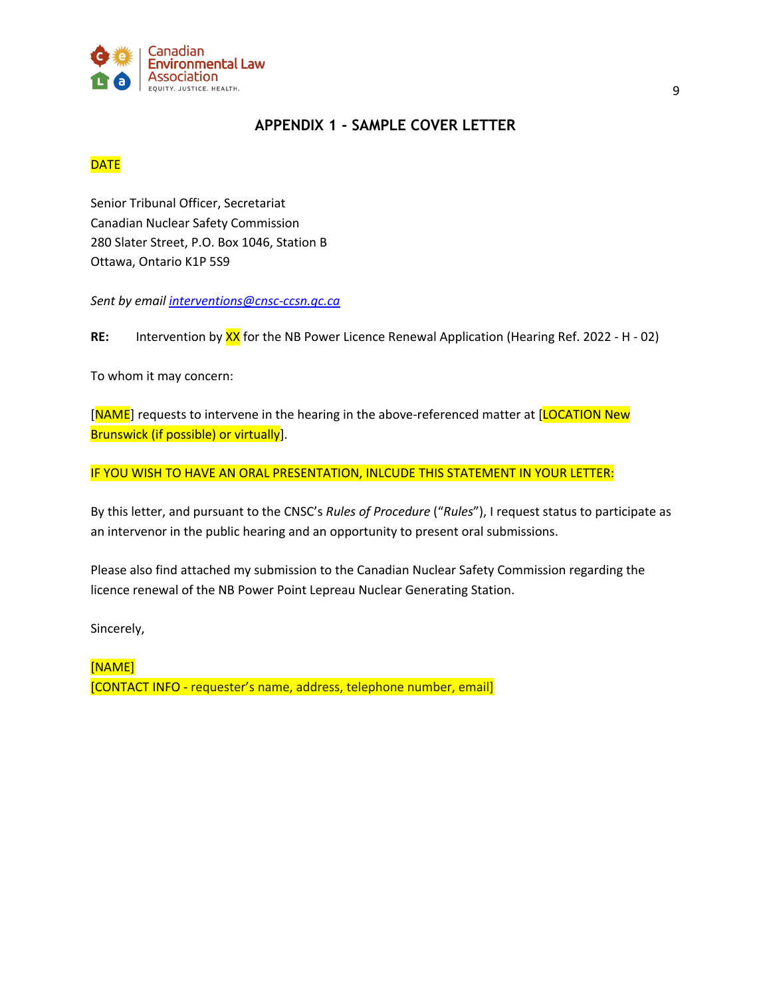

### **APPENDIX 1 - SAMPLE COVER LETTER**

### **DATE**

Senior Tribunal Officer, Secretariat Canadian Nuclear Safety Commission 280 Slater Street, P.O. Box 1046, Station B Ottawa, Ontario K1P 5S9

*Sent by email interventions@cnsc-ccsn.gc.ca*

**RE:** Intervention by XX for the NB Power Licence Renewal Application (Hearing Ref. 2022 - H - 02)

To whom it may concern:

[NAME] requests to intervene in the hearing in the above-referenced matter at [LOCATION New Brunswick (if possible) or virtually].

IF YOU WISH TO HAVE AN ORAL PRESENTATION, INLCUDE THIS STATEMENT IN YOUR LETTER:

By this letter, and pursuant to the CNSC's *Rules of Procedure* ("*Rules*"), I request status to participate as an intervenor in the public hearing and an opportunity to present oral submissions.

Please also find attached my submission to the Canadian Nuclear Safety Commission regarding the licence renewal of the NB Power Point Lepreau Nuclear Generating Station.

Sincerely,

[NAME] [CONTACT INFO - requester's name, address, telephone number, email]